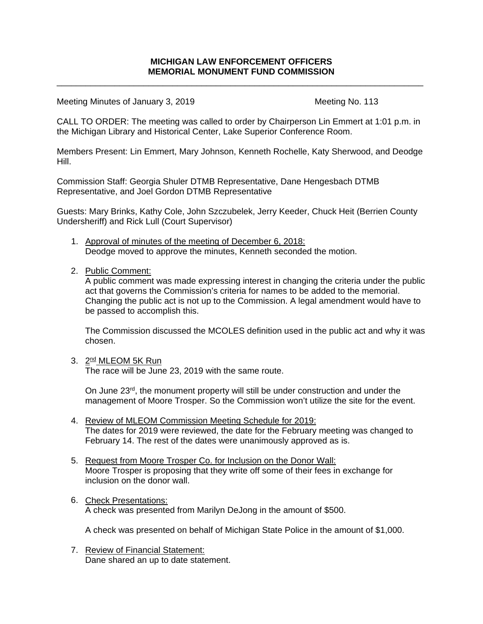\_\_\_\_\_\_\_\_\_\_\_\_\_\_\_\_\_\_\_\_\_\_\_\_\_\_\_\_\_\_\_\_\_\_\_\_\_\_\_\_\_\_\_\_\_\_\_\_\_\_\_\_\_\_\_\_\_\_\_\_\_\_\_\_\_\_\_\_\_\_\_\_\_\_\_\_

Meeting Minutes of January 3, 2019 Meeting No. 113

CALL TO ORDER: The meeting was called to order by Chairperson Lin Emmert at 1:01 p.m. in the Michigan Library and Historical Center, Lake Superior Conference Room.

Members Present: Lin Emmert, Mary Johnson, Kenneth Rochelle, Katy Sherwood, and Deodge Hill.

Commission Staff: Georgia Shuler DTMB Representative, Dane Hengesbach DTMB Representative, and Joel Gordon DTMB Representative

Guests: Mary Brinks, Kathy Cole, John Szczubelek, Jerry Keeder, Chuck Heit (Berrien County Undersheriff) and Rick Lull (Court Supervisor)

- 1. Approval of minutes of the meeting of December 6, 2018: Deodge moved to approve the minutes, Kenneth seconded the motion.
- 2. Public Comment:

A public comment was made expressing interest in changing the criteria under the public act that governs the Commission's criteria for names to be added to the memorial. Changing the public act is not up to the Commission. A legal amendment would have to be passed to accomplish this.

The Commission discussed the MCOLES definition used in the public act and why it was chosen.

3. 2<sup>nd</sup> MLEOM 5K Run

The race will be June 23, 2019 with the same route.

On June  $23<sup>rd</sup>$ , the monument property will still be under construction and under the management of Moore Trosper. So the Commission won't utilize the site for the event.

- 4. Review of MLEOM Commission Meeting Schedule for 2019: The dates for 2019 were reviewed, the date for the February meeting was changed to February 14. The rest of the dates were unanimously approved as is.
- 5. Request from Moore Trosper Co. for Inclusion on the Donor Wall: Moore Trosper is proposing that they write off some of their fees in exchange for inclusion on the donor wall.
- 6. Check Presentations: A check was presented from Marilyn DeJong in the amount of \$500.

A check was presented on behalf of Michigan State Police in the amount of \$1,000.

7. Review of Financial Statement: Dane shared an up to date statement.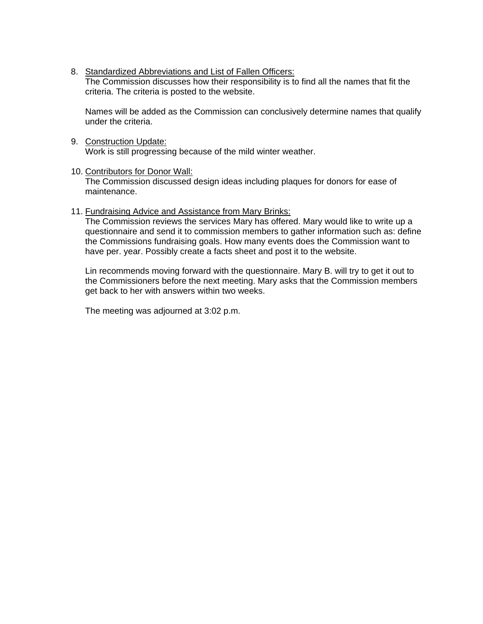8. Standardized Abbreviations and List of Fallen Officers:

The Commission discusses how their responsibility is to find all the names that fit the criteria. The criteria is posted to the website.

Names will be added as the Commission can conclusively determine names that qualify under the criteria.

9. Construction Update: Work is still progressing because of the mild winter weather.

### 10. Contributors for Donor Wall:

The Commission discussed design ideas including plaques for donors for ease of maintenance.

## 11. Fundraising Advice and Assistance from Mary Brinks:

The Commission reviews the services Mary has offered. Mary would like to write up a questionnaire and send it to commission members to gather information such as: define the Commissions fundraising goals. How many events does the Commission want to have per. year. Possibly create a facts sheet and post it to the website.

Lin recommends moving forward with the questionnaire. Mary B. will try to get it out to the Commissioners before the next meeting. Mary asks that the Commission members get back to her with answers within two weeks.

The meeting was adjourned at 3:02 p.m.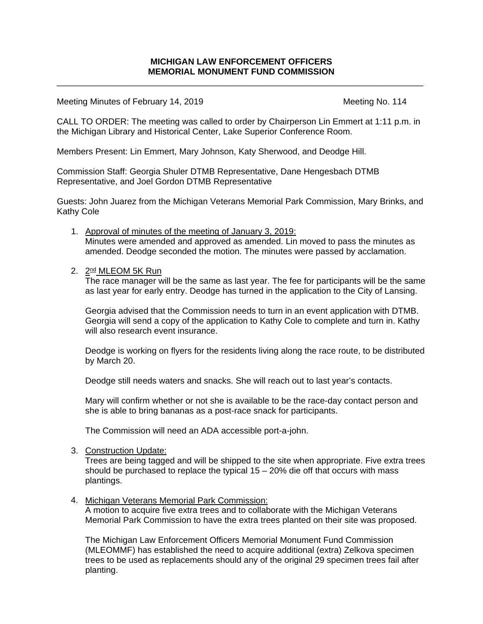\_\_\_\_\_\_\_\_\_\_\_\_\_\_\_\_\_\_\_\_\_\_\_\_\_\_\_\_\_\_\_\_\_\_\_\_\_\_\_\_\_\_\_\_\_\_\_\_\_\_\_\_\_\_\_\_\_\_\_\_\_\_\_\_\_\_\_\_\_\_\_\_\_\_\_\_

Meeting Minutes of February 14, 2019 Meeting No. 114

CALL TO ORDER: The meeting was called to order by Chairperson Lin Emmert at 1:11 p.m. in the Michigan Library and Historical Center, Lake Superior Conference Room.

Members Present: Lin Emmert, Mary Johnson, Katy Sherwood, and Deodge Hill.

Commission Staff: Georgia Shuler DTMB Representative, Dane Hengesbach DTMB Representative, and Joel Gordon DTMB Representative

Guests: John Juarez from the Michigan Veterans Memorial Park Commission, Mary Brinks, and Kathy Cole

- 1. Approval of minutes of the meeting of January 3, 2019: Minutes were amended and approved as amended. Lin moved to pass the minutes as amended. Deodge seconded the motion. The minutes were passed by acclamation.
- 2. 2<sup>nd</sup> MLEOM 5K Run

The race manager will be the same as last year. The fee for participants will be the same as last year for early entry. Deodge has turned in the application to the City of Lansing.

Georgia advised that the Commission needs to turn in an event application with DTMB. Georgia will send a copy of the application to Kathy Cole to complete and turn in. Kathy will also research event insurance.

Deodge is working on flyers for the residents living along the race route, to be distributed by March 20.

Deodge still needs waters and snacks. She will reach out to last year's contacts.

Mary will confirm whether or not she is available to be the race-day contact person and she is able to bring bananas as a post-race snack for participants.

The Commission will need an ADA accessible port-a-john.

3. Construction Update:

Trees are being tagged and will be shipped to the site when appropriate. Five extra trees should be purchased to replace the typical  $15 - 20\%$  die off that occurs with mass plantings.

4. Michigan Veterans Memorial Park Commission:

A motion to acquire five extra trees and to collaborate with the Michigan Veterans Memorial Park Commission to have the extra trees planted on their site was proposed.

The Michigan Law Enforcement Officers Memorial Monument Fund Commission (MLEOMMF) has established the need to acquire additional (extra) Zelkova specimen trees to be used as replacements should any of the original 29 specimen trees fail after planting.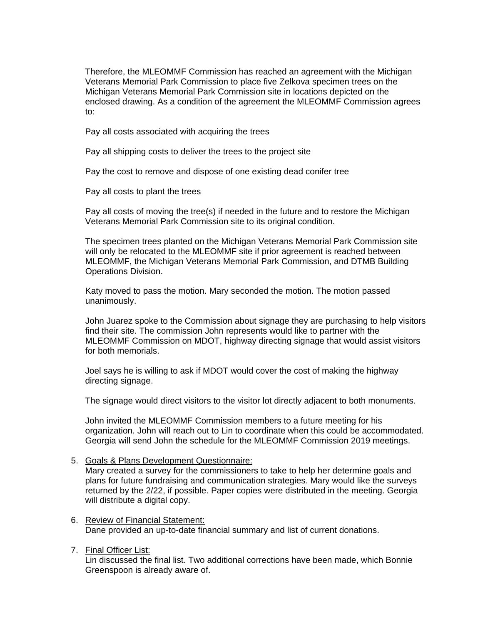Therefore, the MLEOMMF Commission has reached an agreement with the Michigan Veterans Memorial Park Commission to place five Zelkova specimen trees on the Michigan Veterans Memorial Park Commission site in locations depicted on the enclosed drawing. As a condition of the agreement the MLEOMMF Commission agrees to:

Pay all costs associated with acquiring the trees

Pay all shipping costs to deliver the trees to the project site

Pay the cost to remove and dispose of one existing dead conifer tree

Pay all costs to plant the trees

Pay all costs of moving the tree(s) if needed in the future and to restore the Michigan Veterans Memorial Park Commission site to its original condition.

The specimen trees planted on the Michigan Veterans Memorial Park Commission site will only be relocated to the MLEOMMF site if prior agreement is reached between MLEOMMF, the Michigan Veterans Memorial Park Commission, and DTMB Building Operations Division.

Katy moved to pass the motion. Mary seconded the motion. The motion passed unanimously.

John Juarez spoke to the Commission about signage they are purchasing to help visitors find their site. The commission John represents would like to partner with the MLEOMMF Commission on MDOT, highway directing signage that would assist visitors for both memorials.

Joel says he is willing to ask if MDOT would cover the cost of making the highway directing signage.

The signage would direct visitors to the visitor lot directly adjacent to both monuments.

John invited the MLEOMMF Commission members to a future meeting for his organization. John will reach out to Lin to coordinate when this could be accommodated. Georgia will send John the schedule for the MLEOMMF Commission 2019 meetings.

#### 5. Goals & Plans Development Questionnaire:

Mary created a survey for the commissioners to take to help her determine goals and plans for future fundraising and communication strategies. Mary would like the surveys returned by the 2/22, if possible. Paper copies were distributed in the meeting. Georgia will distribute a digital copy.

#### 6. Review of Financial Statement: Dane provided an up-to-date financial summary and list of current donations.

### 7. Final Officer List:

Lin discussed the final list. Two additional corrections have been made, which Bonnie Greenspoon is already aware of.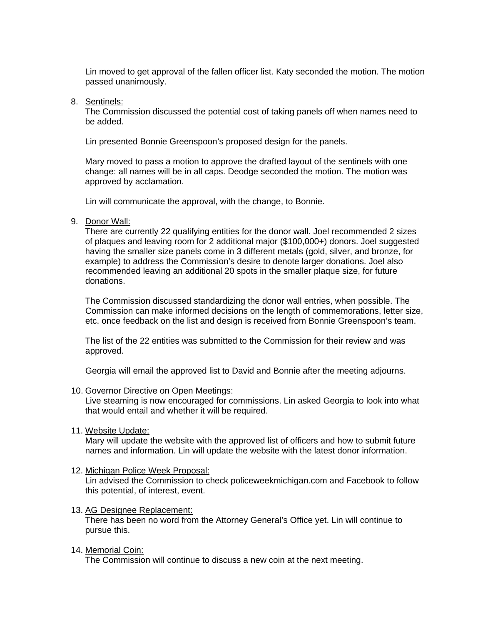Lin moved to get approval of the fallen officer list. Katy seconded the motion. The motion passed unanimously.

#### 8. Sentinels:

The Commission discussed the potential cost of taking panels off when names need to be added.

Lin presented Bonnie Greenspoon's proposed design for the panels.

Mary moved to pass a motion to approve the drafted layout of the sentinels with one change: all names will be in all caps. Deodge seconded the motion. The motion was approved by acclamation.

Lin will communicate the approval, with the change, to Bonnie.

9. Donor Wall:

There are currently 22 qualifying entities for the donor wall. Joel recommended 2 sizes of plaques and leaving room for 2 additional major (\$100,000+) donors. Joel suggested having the smaller size panels come in 3 different metals (gold, silver, and bronze, for example) to address the Commission's desire to denote larger donations. Joel also recommended leaving an additional 20 spots in the smaller plaque size, for future donations.

The Commission discussed standardizing the donor wall entries, when possible. The Commission can make informed decisions on the length of commemorations, letter size, etc. once feedback on the list and design is received from Bonnie Greenspoon's team.

The list of the 22 entities was submitted to the Commission for their review and was approved.

Georgia will email the approved list to David and Bonnie after the meeting adjourns.

10. Governor Directive on Open Meetings:

Live steaming is now encouraged for commissions. Lin asked Georgia to look into what that would entail and whether it will be required.

11. Website Update:

Mary will update the website with the approved list of officers and how to submit future names and information. Lin will update the website with the latest donor information.

12. Michigan Police Week Proposal:

Lin advised the Commission to check policeweekmichigan.com and Facebook to follow this potential, of interest, event.

13. AG Designee Replacement:

There has been no word from the Attorney General's Office yet. Lin will continue to pursue this.

14. Memorial Coin:

The Commission will continue to discuss a new coin at the next meeting.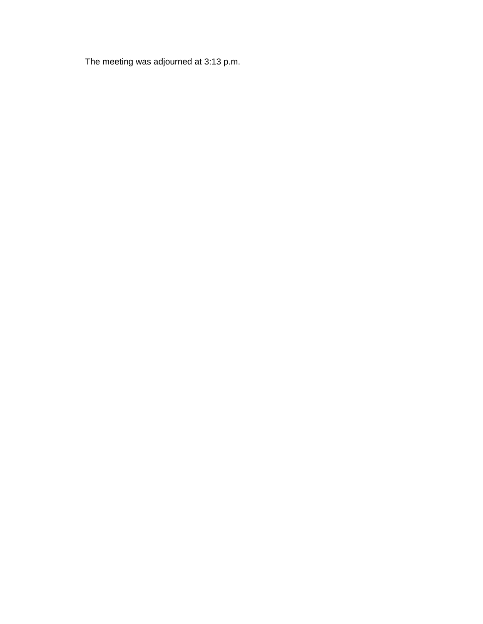The meeting was adjourned at 3:13 p.m.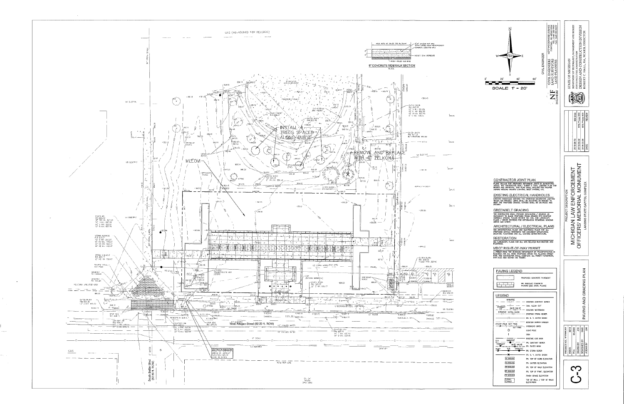

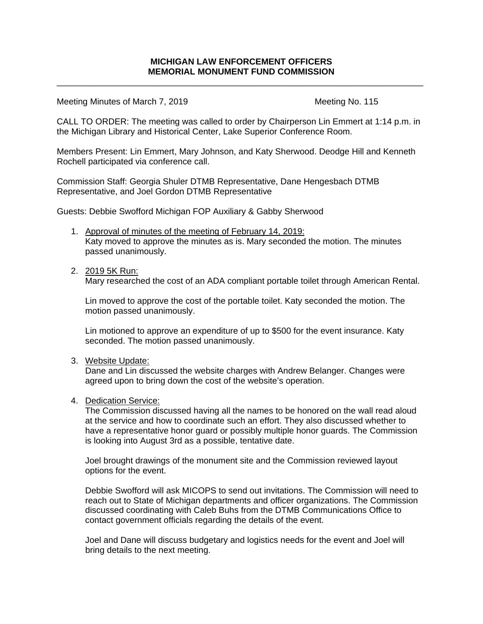\_\_\_\_\_\_\_\_\_\_\_\_\_\_\_\_\_\_\_\_\_\_\_\_\_\_\_\_\_\_\_\_\_\_\_\_\_\_\_\_\_\_\_\_\_\_\_\_\_\_\_\_\_\_\_\_\_\_\_\_\_\_\_\_\_\_\_\_\_\_\_\_\_\_\_\_

Meeting Minutes of March 7, 2019 Meeting No. 115

CALL TO ORDER: The meeting was called to order by Chairperson Lin Emmert at 1:14 p.m. in the Michigan Library and Historical Center, Lake Superior Conference Room.

Members Present: Lin Emmert, Mary Johnson, and Katy Sherwood. Deodge Hill and Kenneth Rochell participated via conference call.

Commission Staff: Georgia Shuler DTMB Representative, Dane Hengesbach DTMB Representative, and Joel Gordon DTMB Representative

Guests: Debbie Swofford Michigan FOP Auxiliary & Gabby Sherwood

- 1. Approval of minutes of the meeting of February 14, 2019: Katy moved to approve the minutes as is. Mary seconded the motion. The minutes passed unanimously.
- 2. 2019 5K Run:

Mary researched the cost of an ADA compliant portable toilet through American Rental.

Lin moved to approve the cost of the portable toilet. Katy seconded the motion. The motion passed unanimously.

Lin motioned to approve an expenditure of up to \$500 for the event insurance. Katy seconded. The motion passed unanimously.

3. Website Update:

Dane and Lin discussed the website charges with Andrew Belanger. Changes were agreed upon to bring down the cost of the website's operation.

4. Dedication Service:

The Commission discussed having all the names to be honored on the wall read aloud at the service and how to coordinate such an effort. They also discussed whether to have a representative honor guard or possibly multiple honor guards. The Commission is looking into August 3rd as a possible, tentative date.

Joel brought drawings of the monument site and the Commission reviewed layout options for the event.

Debbie Swofford will ask MICOPS to send out invitations. The Commission will need to reach out to State of Michigan departments and officer organizations. The Commission discussed coordinating with Caleb Buhs from the DTMB Communications Office to contact government officials regarding the details of the event.

Joel and Dane will discuss budgetary and logistics needs for the event and Joel will bring details to the next meeting.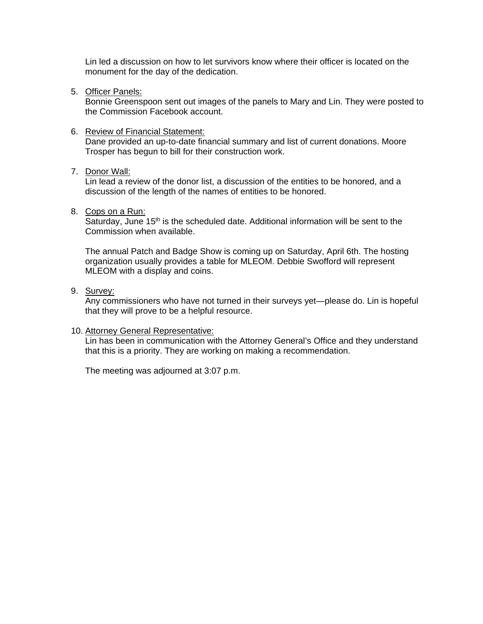Lin led a discussion on how to let survivors know where their officer is located on the monument for the day of the dedication.

5. Officer Panels:

Bonnie Greenspoon sent out images of the panels to Mary and Lin. They were posted to the Commission Facebook account.

### 6. Review of Financial Statement:

Dane provided an up-to-date financial summary and list of current donations. Moore Trosper has begun to bill for their construction work.

### 7. Donor Wall:

Lin lead a review of the donor list, a discussion of the entities to be honored, and a discussion of the length of the names of entities to be honored.

8. Cops on a Run:

Saturday, June 15<sup>th</sup> is the scheduled date. Additional information will be sent to the Commission when available.

The annual Patch and Badge Show is coming up on Saturday, April 6th. The hosting organization usually provides a table for MLEOM. Debbie Swofford will represent MLEOM with a display and coins.

9. Survey:

Any commissioners who have not turned in their surveys yet—please do. Lin is hopeful that they will prove to be a helpful resource.

### 10. Attorney General Representative:

Lin has been in communication with the Attorney General's Office and they understand that this is a priority. They are working on making a recommendation.

The meeting was adjourned at 3:07 p.m.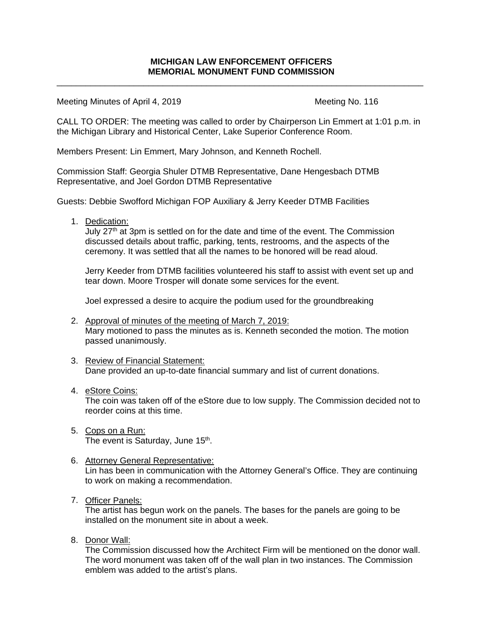\_\_\_\_\_\_\_\_\_\_\_\_\_\_\_\_\_\_\_\_\_\_\_\_\_\_\_\_\_\_\_\_\_\_\_\_\_\_\_\_\_\_\_\_\_\_\_\_\_\_\_\_\_\_\_\_\_\_\_\_\_\_\_\_\_\_\_\_\_\_\_\_\_\_\_\_

Meeting Minutes of April 4, 2019 Meeting No. 116

CALL TO ORDER: The meeting was called to order by Chairperson Lin Emmert at 1:01 p.m. in the Michigan Library and Historical Center, Lake Superior Conference Room.

Members Present: Lin Emmert, Mary Johnson, and Kenneth Rochell.

Commission Staff: Georgia Shuler DTMB Representative, Dane Hengesbach DTMB Representative, and Joel Gordon DTMB Representative

Guests: Debbie Swofford Michigan FOP Auxiliary & Jerry Keeder DTMB Facilities

1. Dedication:

July  $27<sup>th</sup>$  at 3pm is settled on for the date and time of the event. The Commission discussed details about traffic, parking, tents, restrooms, and the aspects of the ceremony. It was settled that all the names to be honored will be read aloud.

Jerry Keeder from DTMB facilities volunteered his staff to assist with event set up and tear down. Moore Trosper will donate some services for the event.

Joel expressed a desire to acquire the podium used for the groundbreaking

- 2. Approval of minutes of the meeting of March 7, 2019: Mary motioned to pass the minutes as is. Kenneth seconded the motion. The motion passed unanimously.
- 3. Review of Financial Statement: Dane provided an up-to-date financial summary and list of current donations.
- 4. eStore Coins: The coin was taken off of the eStore due to low supply. The Commission decided not to reorder coins at this time.
- 5. Cops on a Run: The event is Saturday, June 15<sup>th</sup>.
- 6. Attorney General Representative: Lin has been in communication with the Attorney General's Office. They are continuing to work on making a recommendation.
- 7. Officer Panels:

The artist has begun work on the panels. The bases for the panels are going to be installed on the monument site in about a week.

8. Donor Wall:

The Commission discussed how the Architect Firm will be mentioned on the donor wall. The word monument was taken off of the wall plan in two instances. The Commission emblem was added to the artist's plans.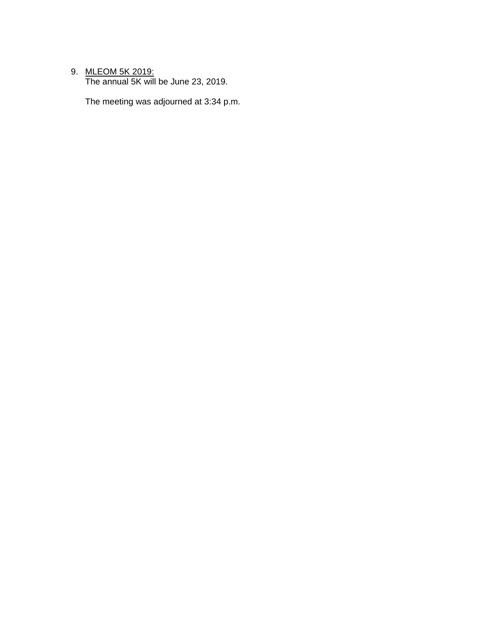# 9. <u>MLEOM 5K 2019:</u>

The annual 5K will be June 23, 2019.

The meeting was adjourned at 3:34 p.m.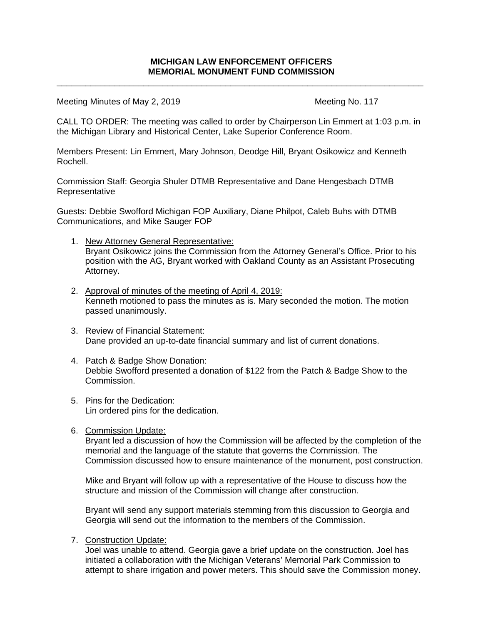\_\_\_\_\_\_\_\_\_\_\_\_\_\_\_\_\_\_\_\_\_\_\_\_\_\_\_\_\_\_\_\_\_\_\_\_\_\_\_\_\_\_\_\_\_\_\_\_\_\_\_\_\_\_\_\_\_\_\_\_\_\_\_\_\_\_\_\_\_\_\_\_\_\_\_\_

Meeting Minutes of May 2, 2019 Meeting No. 117

CALL TO ORDER: The meeting was called to order by Chairperson Lin Emmert at 1:03 p.m. in the Michigan Library and Historical Center, Lake Superior Conference Room.

Members Present: Lin Emmert, Mary Johnson, Deodge Hill, Bryant Osikowicz and Kenneth Rochell.

Commission Staff: Georgia Shuler DTMB Representative and Dane Hengesbach DTMB **Representative** 

Guests: Debbie Swofford Michigan FOP Auxiliary, Diane Philpot, Caleb Buhs with DTMB Communications, and Mike Sauger FOP

- 1. New Attorney General Representative: Bryant Osikowicz joins the Commission from the Attorney General's Office. Prior to his position with the AG, Bryant worked with Oakland County as an Assistant Prosecuting Attorney.
- 2. Approval of minutes of the meeting of April 4, 2019: Kenneth motioned to pass the minutes as is. Mary seconded the motion. The motion passed unanimously.
- 3. Review of Financial Statement: Dane provided an up-to-date financial summary and list of current donations.
- 4. Patch & Badge Show Donation: Debbie Swofford presented a donation of \$122 from the Patch & Badge Show to the Commission.
- 5. Pins for the Dedication: Lin ordered pins for the dedication.
- 6. Commission Update:

Bryant led a discussion of how the Commission will be affected by the completion of the memorial and the language of the statute that governs the Commission. The Commission discussed how to ensure maintenance of the monument, post construction.

Mike and Bryant will follow up with a representative of the House to discuss how the structure and mission of the Commission will change after construction.

Bryant will send any support materials stemming from this discussion to Georgia and Georgia will send out the information to the members of the Commission.

7. Construction Update:

Joel was unable to attend. Georgia gave a brief update on the construction. Joel has initiated a collaboration with the Michigan Veterans' Memorial Park Commission to attempt to share irrigation and power meters. This should save the Commission money.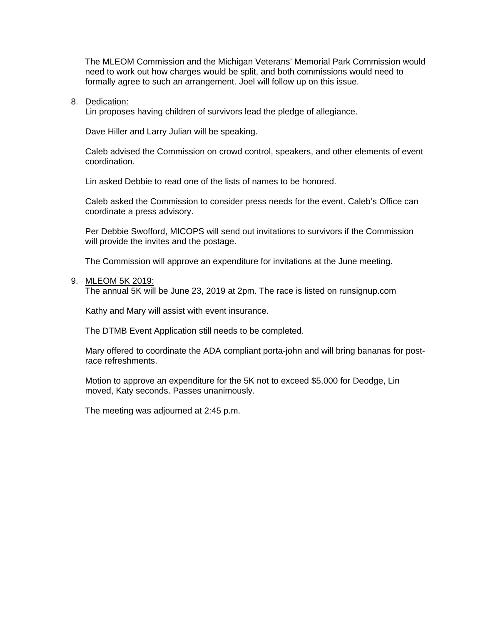The MLEOM Commission and the Michigan Veterans' Memorial Park Commission would need to work out how charges would be split, and both commissions would need to formally agree to such an arrangement. Joel will follow up on this issue.

### 8. Dedication:

Lin proposes having children of survivors lead the pledge of allegiance.

Dave Hiller and Larry Julian will be speaking.

Caleb advised the Commission on crowd control, speakers, and other elements of event coordination.

Lin asked Debbie to read one of the lists of names to be honored.

Caleb asked the Commission to consider press needs for the event. Caleb's Office can coordinate a press advisory.

Per Debbie Swofford, MICOPS will send out invitations to survivors if the Commission will provide the invites and the postage.

The Commission will approve an expenditure for invitations at the June meeting.

#### 9. MLEOM 5K 2019:

The annual 5K will be June 23, 2019 at 2pm. The race is listed on runsignup.com

Kathy and Mary will assist with event insurance.

The DTMB Event Application still needs to be completed.

Mary offered to coordinate the ADA compliant porta-john and will bring bananas for postrace refreshments.

Motion to approve an expenditure for the 5K not to exceed \$5,000 for Deodge, Lin moved, Katy seconds. Passes unanimously.

The meeting was adjourned at 2:45 p.m.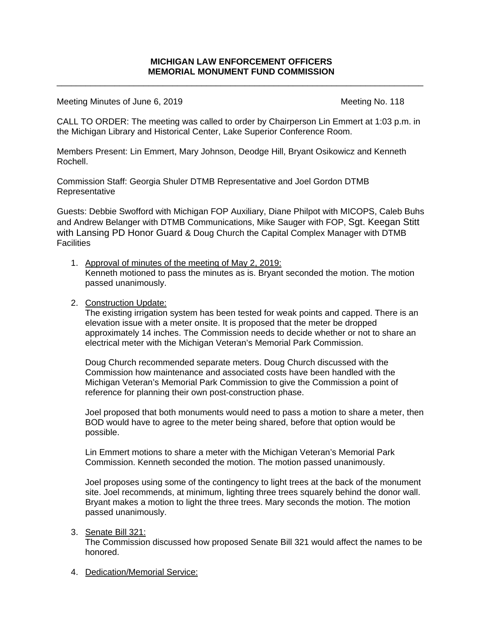\_\_\_\_\_\_\_\_\_\_\_\_\_\_\_\_\_\_\_\_\_\_\_\_\_\_\_\_\_\_\_\_\_\_\_\_\_\_\_\_\_\_\_\_\_\_\_\_\_\_\_\_\_\_\_\_\_\_\_\_\_\_\_\_\_\_\_\_\_\_\_\_\_\_\_\_

Meeting Minutes of June 6, 2019 Meeting No. 118

CALL TO ORDER: The meeting was called to order by Chairperson Lin Emmert at 1:03 p.m. in the Michigan Library and Historical Center, Lake Superior Conference Room.

Members Present: Lin Emmert, Mary Johnson, Deodge Hill, Bryant Osikowicz and Kenneth Rochell.

Commission Staff: Georgia Shuler DTMB Representative and Joel Gordon DTMB Representative

Guests: Debbie Swofford with Michigan FOP Auxiliary, Diane Philpot with MICOPS, Caleb Buhs and Andrew Belanger with DTMB Communications, Mike Sauger with FOP, Sgt. Keegan Stitt with Lansing PD Honor Guard & Doug Church the Capital Complex Manager with DTMB **Facilities** 

1. Approval of minutes of the meeting of May 2, 2019: Kenneth motioned to pass the minutes as is. Bryant seconded the motion. The motion passed unanimously.

## 2. Construction Update:

The existing irrigation system has been tested for weak points and capped. There is an elevation issue with a meter onsite. It is proposed that the meter be dropped approximately 14 inches. The Commission needs to decide whether or not to share an electrical meter with the Michigan Veteran's Memorial Park Commission.

Doug Church recommended separate meters. Doug Church discussed with the Commission how maintenance and associated costs have been handled with the Michigan Veteran's Memorial Park Commission to give the Commission a point of reference for planning their own post-construction phase.

Joel proposed that both monuments would need to pass a motion to share a meter, then BOD would have to agree to the meter being shared, before that option would be possible.

Lin Emmert motions to share a meter with the Michigan Veteran's Memorial Park Commission. Kenneth seconded the motion. The motion passed unanimously.

Joel proposes using some of the contingency to light trees at the back of the monument site. Joel recommends, at minimum, lighting three trees squarely behind the donor wall. Bryant makes a motion to light the three trees. Mary seconds the motion. The motion passed unanimously.

### 3. Senate Bill 321:

The Commission discussed how proposed Senate Bill 321 would affect the names to be honored.

4. Dedication/Memorial Service: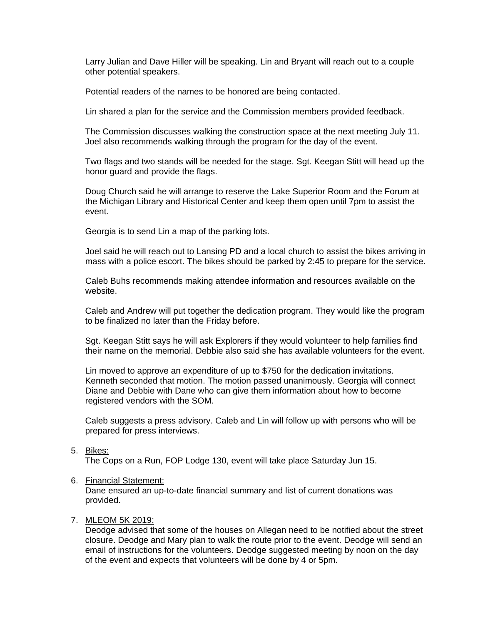Larry Julian and Dave Hiller will be speaking. Lin and Bryant will reach out to a couple other potential speakers.

Potential readers of the names to be honored are being contacted.

Lin shared a plan for the service and the Commission members provided feedback.

The Commission discusses walking the construction space at the next meeting July 11. Joel also recommends walking through the program for the day of the event.

Two flags and two stands will be needed for the stage. Sgt. Keegan Stitt will head up the honor guard and provide the flags.

Doug Church said he will arrange to reserve the Lake Superior Room and the Forum at the Michigan Library and Historical Center and keep them open until 7pm to assist the event.

Georgia is to send Lin a map of the parking lots.

Joel said he will reach out to Lansing PD and a local church to assist the bikes arriving in mass with a police escort. The bikes should be parked by 2:45 to prepare for the service.

Caleb Buhs recommends making attendee information and resources available on the website.

Caleb and Andrew will put together the dedication program. They would like the program to be finalized no later than the Friday before.

Sgt. Keegan Stitt says he will ask Explorers if they would volunteer to help families find their name on the memorial. Debbie also said she has available volunteers for the event.

Lin moved to approve an expenditure of up to \$750 for the dedication invitations. Kenneth seconded that motion. The motion passed unanimously. Georgia will connect Diane and Debbie with Dane who can give them information about how to become registered vendors with the SOM.

Caleb suggests a press advisory. Caleb and Lin will follow up with persons who will be prepared for press interviews.

### 5. Bikes:

The Cops on a Run, FOP Lodge 130, event will take place Saturday Jun 15.

#### 6. Financial Statement:

Dane ensured an up-to-date financial summary and list of current donations was provided.

# 7. MLEOM 5K 2019:

Deodge advised that some of the houses on Allegan need to be notified about the street closure. Deodge and Mary plan to walk the route prior to the event. Deodge will send an email of instructions for the volunteers. Deodge suggested meeting by noon on the day of the event and expects that volunteers will be done by 4 or 5pm.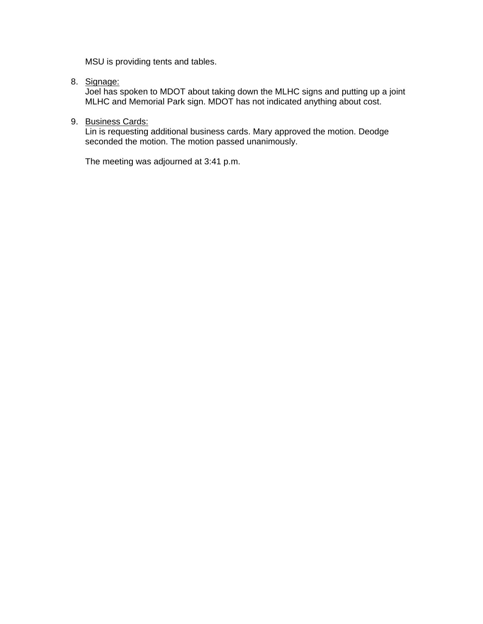MSU is providing tents and tables.

8. Signage:

Joel has spoken to MDOT about taking down the MLHC signs and putting up a joint MLHC and Memorial Park sign. MDOT has not indicated anything about cost.

9. Business Cards:

Lin is requesting additional business cards. Mary approved the motion. Deodge seconded the motion. The motion passed unanimously.

The meeting was adjourned at 3:41 p.m.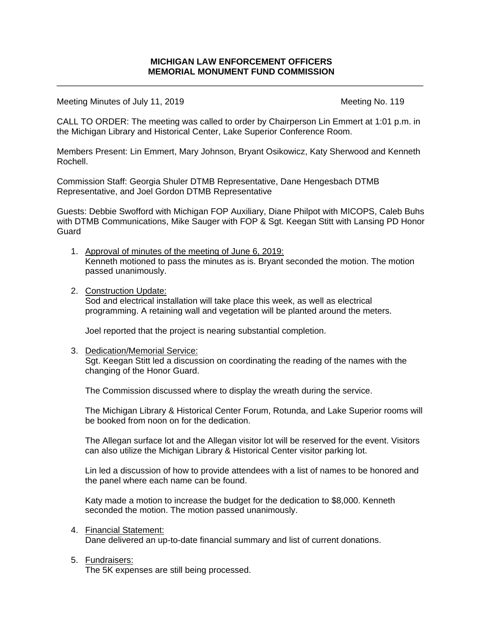\_\_\_\_\_\_\_\_\_\_\_\_\_\_\_\_\_\_\_\_\_\_\_\_\_\_\_\_\_\_\_\_\_\_\_\_\_\_\_\_\_\_\_\_\_\_\_\_\_\_\_\_\_\_\_\_\_\_\_\_\_\_\_\_\_\_\_\_\_\_\_\_\_\_\_\_

Meeting Minutes of July 11, 2019 Meeting No. 119

CALL TO ORDER: The meeting was called to order by Chairperson Lin Emmert at 1:01 p.m. in the Michigan Library and Historical Center, Lake Superior Conference Room.

Members Present: Lin Emmert, Mary Johnson, Bryant Osikowicz, Katy Sherwood and Kenneth Rochell.

Commission Staff: Georgia Shuler DTMB Representative, Dane Hengesbach DTMB Representative, and Joel Gordon DTMB Representative

Guests: Debbie Swofford with Michigan FOP Auxiliary, Diane Philpot with MICOPS, Caleb Buhs with DTMB Communications, Mike Sauger with FOP & Sgt. Keegan Stitt with Lansing PD Honor Guard

- 1. Approval of minutes of the meeting of June 6, 2019: Kenneth motioned to pass the minutes as is. Bryant seconded the motion. The motion passed unanimously.
- 2. Construction Update:

Sod and electrical installation will take place this week, as well as electrical programming. A retaining wall and vegetation will be planted around the meters.

Joel reported that the project is nearing substantial completion.

3. Dedication/Memorial Service: Sgt. Keegan Stitt led a discussion on coordinating the reading of the names with the changing of the Honor Guard.

The Commission discussed where to display the wreath during the service.

The Michigan Library & Historical Center Forum, Rotunda, and Lake Superior rooms will be booked from noon on for the dedication.

The Allegan surface lot and the Allegan visitor lot will be reserved for the event. Visitors can also utilize the Michigan Library & Historical Center visitor parking lot.

Lin led a discussion of how to provide attendees with a list of names to be honored and the panel where each name can be found.

Katy made a motion to increase the budget for the dedication to \$8,000. Kenneth seconded the motion. The motion passed unanimously.

4. Financial Statement:

Dane delivered an up-to-date financial summary and list of current donations.

5. Fundraisers:

The 5K expenses are still being processed.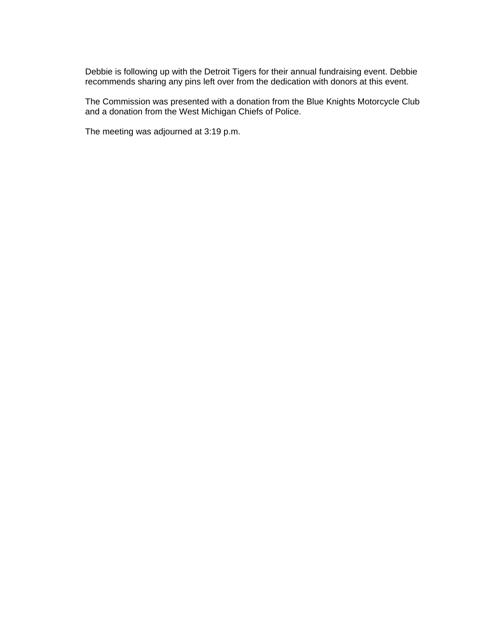Debbie is following up with the Detroit Tigers for their annual fundraising event. Debbie recommends sharing any pins left over from the dedication with donors at this event.

The Commission was presented with a donation from the Blue Knights Motorcycle Club and a donation from the West Michigan Chiefs of Police.

The meeting was adjourned at 3:19 p.m.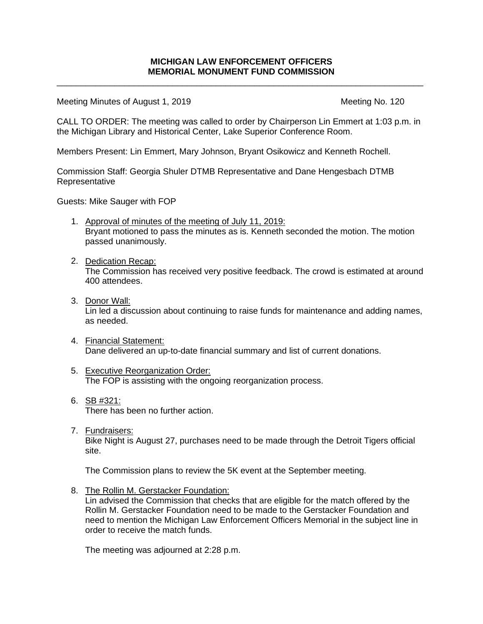\_\_\_\_\_\_\_\_\_\_\_\_\_\_\_\_\_\_\_\_\_\_\_\_\_\_\_\_\_\_\_\_\_\_\_\_\_\_\_\_\_\_\_\_\_\_\_\_\_\_\_\_\_\_\_\_\_\_\_\_\_\_\_\_\_\_\_\_\_\_\_\_\_\_\_\_

Meeting Minutes of August 1, 2019 Meeting No. 120

CALL TO ORDER: The meeting was called to order by Chairperson Lin Emmert at 1:03 p.m. in the Michigan Library and Historical Center, Lake Superior Conference Room.

Members Present: Lin Emmert, Mary Johnson, Bryant Osikowicz and Kenneth Rochell.

Commission Staff: Georgia Shuler DTMB Representative and Dane Hengesbach DTMB Representative

Guests: Mike Sauger with FOP

- 1. Approval of minutes of the meeting of July 11, 2019: Bryant motioned to pass the minutes as is. Kenneth seconded the motion. The motion passed unanimously.
- 2. Dedication Recap: The Commission has received very positive feedback. The crowd is estimated at around 400 attendees.
- 3. Donor Wall: Lin led a discussion about continuing to raise funds for maintenance and adding names, as needed.
- 4. Financial Statement: Dane delivered an up-to-date financial summary and list of current donations.
- 5. Executive Reorganization Order: The FOP is assisting with the ongoing reorganization process.
- 6. SB #321: There has been no further action.
- 7. Fundraisers: Bike Night is August 27, purchases need to be made through the Detroit Tigers official site.

The Commission plans to review the 5K event at the September meeting.

8. The Rollin M. Gerstacker Foundation:

Lin advised the Commission that checks that are eligible for the match offered by the Rollin M. Gerstacker Foundation need to be made to the Gerstacker Foundation and need to mention the Michigan Law Enforcement Officers Memorial in the subject line in order to receive the match funds.

The meeting was adjourned at 2:28 p.m.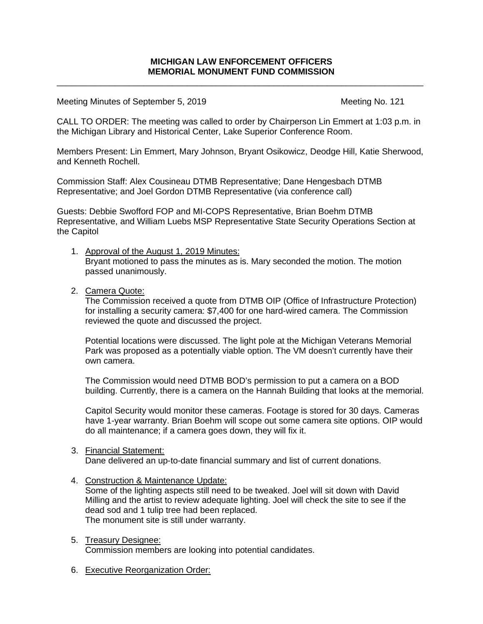\_\_\_\_\_\_\_\_\_\_\_\_\_\_\_\_\_\_\_\_\_\_\_\_\_\_\_\_\_\_\_\_\_\_\_\_\_\_\_\_\_\_\_\_\_\_\_\_\_\_\_\_\_\_\_\_\_\_\_\_\_\_\_\_\_\_\_\_\_\_\_\_\_\_\_\_

Meeting Minutes of September 5, 2019 Meeting No. 121

CALL TO ORDER: The meeting was called to order by Chairperson Lin Emmert at 1:03 p.m. in the Michigan Library and Historical Center, Lake Superior Conference Room.

Members Present: Lin Emmert, Mary Johnson, Bryant Osikowicz, Deodge Hill, Katie Sherwood, and Kenneth Rochell.

Commission Staff: Alex Cousineau DTMB Representative; Dane Hengesbach DTMB Representative; and Joel Gordon DTMB Representative (via conference call)

Guests: Debbie Swofford FOP and MI-COPS Representative, Brian Boehm DTMB Representative, and William Luebs MSP Representative State Security Operations Section at the Capitol

- 1. Approval of the August 1, 2019 Minutes: Bryant motioned to pass the minutes as is. Mary seconded the motion. The motion passed unanimously.
- 2. Camera Quote:

The Commission received a quote from DTMB OIP (Office of Infrastructure Protection) for installing a security camera: \$7,400 for one hard-wired camera. The Commission reviewed the quote and discussed the project.

Potential locations were discussed. The light pole at the Michigan Veterans Memorial Park was proposed as a potentially viable option. The VM doesn't currently have their own camera.

The Commission would need DTMB BOD's permission to put a camera on a BOD building. Currently, there is a camera on the Hannah Building that looks at the memorial.

Capitol Security would monitor these cameras. Footage is stored for 30 days. Cameras have 1-year warranty. Brian Boehm will scope out some camera site options. OIP would do all maintenance; if a camera goes down, they will fix it.

# 3. Financial Statement:

Dane delivered an up-to-date financial summary and list of current donations.

4. Construction & Maintenance Update:

Some of the lighting aspects still need to be tweaked. Joel will sit down with David Milling and the artist to review adequate lighting. Joel will check the site to see if the dead sod and 1 tulip tree had been replaced. The monument site is still under warranty.

- 5. Treasury Designee: Commission members are looking into potential candidates.
- 6. Executive Reorganization Order: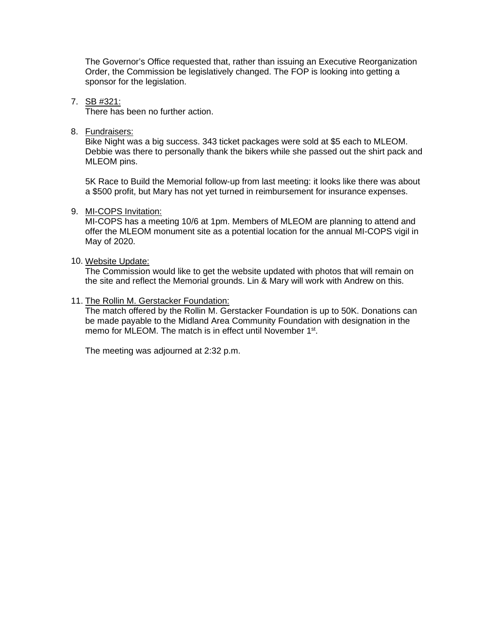The Governor's Office requested that, rather than issuing an Executive Reorganization Order, the Commission be legislatively changed. The FOP is looking into getting a sponsor for the legislation.

7. SB #321:

There has been no further action.

8. Fundraisers:

Bike Night was a big success. 343 ticket packages were sold at \$5 each to MLEOM. Debbie was there to personally thank the bikers while she passed out the shirt pack and MLEOM pins.

5K Race to Build the Memorial follow-up from last meeting: it looks like there was about a \$500 profit, but Mary has not yet turned in reimbursement for insurance expenses.

## 9. MI-COPS Invitation:

MI-COPS has a meeting 10/6 at 1pm. Members of MLEOM are planning to attend and offer the MLEOM monument site as a potential location for the annual MI-COPS vigil in May of 2020.

## 10. Website Update:

The Commission would like to get the website updated with photos that will remain on the site and reflect the Memorial grounds. Lin & Mary will work with Andrew on this.

## 11. The Rollin M. Gerstacker Foundation:

The match offered by the Rollin M. Gerstacker Foundation is up to 50K. Donations can be made payable to the Midland Area Community Foundation with designation in the memo for MLEOM. The match is in effect until November 1<sup>st</sup>.

The meeting was adjourned at 2:32 p.m.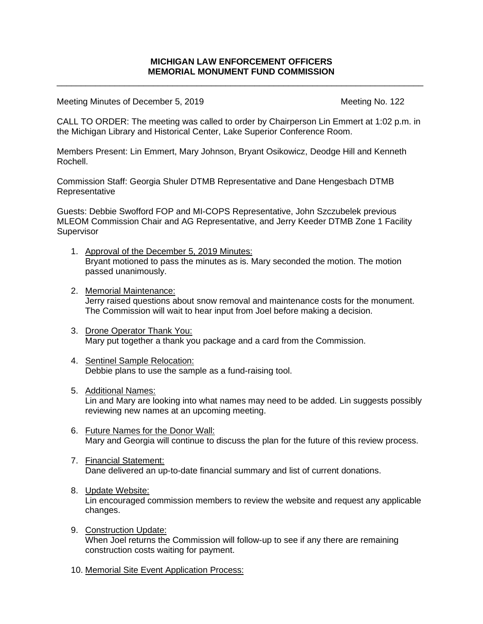\_\_\_\_\_\_\_\_\_\_\_\_\_\_\_\_\_\_\_\_\_\_\_\_\_\_\_\_\_\_\_\_\_\_\_\_\_\_\_\_\_\_\_\_\_\_\_\_\_\_\_\_\_\_\_\_\_\_\_\_\_\_\_\_\_\_\_\_\_\_\_\_\_\_\_\_

Meeting Minutes of December 5, 2019 Meeting No. 122

CALL TO ORDER: The meeting was called to order by Chairperson Lin Emmert at 1:02 p.m. in the Michigan Library and Historical Center, Lake Superior Conference Room.

Members Present: Lin Emmert, Mary Johnson, Bryant Osikowicz, Deodge Hill and Kenneth Rochell.

Commission Staff: Georgia Shuler DTMB Representative and Dane Hengesbach DTMB **Representative** 

Guests: Debbie Swofford FOP and MI-COPS Representative, John Szczubelek previous MLEOM Commission Chair and AG Representative, and Jerry Keeder DTMB Zone 1 Facility Supervisor

- 1. Approval of the December 5, 2019 Minutes: Bryant motioned to pass the minutes as is. Mary seconded the motion. The motion passed unanimously.
- 2. Memorial Maintenance: Jerry raised questions about snow removal and maintenance costs for the monument. The Commission will wait to hear input from Joel before making a decision.
- 3. Drone Operator Thank You: Mary put together a thank you package and a card from the Commission.
- 4. Sentinel Sample Relocation: Debbie plans to use the sample as a fund-raising tool.
- 5. Additional Names: Lin and Mary are looking into what names may need to be added. Lin suggests possibly reviewing new names at an upcoming meeting.
- 6. Future Names for the Donor Wall: Mary and Georgia will continue to discuss the plan for the future of this review process.
- 7. Financial Statement: Dane delivered an up-to-date financial summary and list of current donations.
- 8. Update Website: Lin encouraged commission members to review the website and request any applicable changes.
- 9. Construction Update: When Joel returns the Commission will follow-up to see if any there are remaining construction costs waiting for payment.
- 10. Memorial Site Event Application Process: